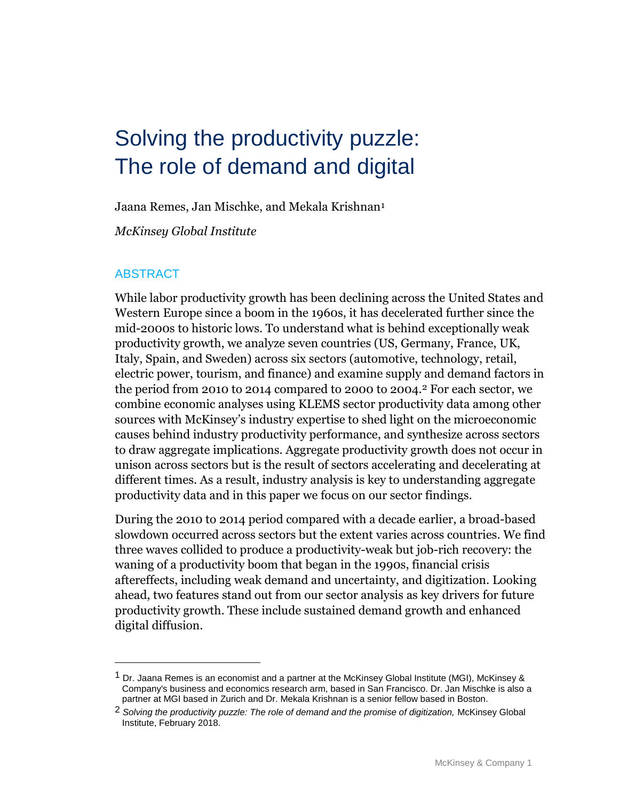# Solving the productivity puzzle: The role of demand and digital

Jaana Remes, Jan Mischke, and Mekala Krishnan1

*McKinsey Global Institute*

### ABSTRACT

 $\overline{a}$ 

While labor productivity growth has been declining across the United States and Western Europe since a boom in the 1960s, it has decelerated further since the mid-2000s to historic lows. To understand what is behind exceptionally weak productivity growth, we analyze seven countries (US, Germany, France, UK, Italy, Spain, and Sweden) across six sectors (automotive, technology, retail, electric power, tourism, and finance) and examine supply and demand factors in the period from 2010 to 2014 compared to 2000 to 2004.2 For each sector, we combine economic analyses using KLEMS sector productivity data among other sources with McKinsey's industry expertise to shed light on the microeconomic causes behind industry productivity performance, and synthesize across sectors to draw aggregate implications. Aggregate productivity growth does not occur in unison across sectors but is the result of sectors accelerating and decelerating at different times. As a result, industry analysis is key to understanding aggregate productivity data and in this paper we focus on our sector findings.

During the 2010 to 2014 period compared with a decade earlier, a broad-based slowdown occurred across sectors but the extent varies across countries. We find three waves collided to produce a productivity-weak but job-rich recovery: the waning of a productivity boom that began in the 1990s, financial crisis aftereffects, including weak demand and uncertainty, and digitization. Looking ahead, two features stand out from our sector analysis as key drivers for future productivity growth. These include sustained demand growth and enhanced digital diffusion.

<sup>&</sup>lt;sup>1</sup> Dr. Jaana Remes is an economist and a partner at the McKinsey Global Institute (MGI), McKinsey & Company's business and economics research arm, based in San Francisco. Dr. Jan Mischke is also a partner at MGI based in Zurich and Dr. Mekala Krishnan is a senior fellow based in Boston.

<sup>2</sup> *Solving the productivity puzzle: The role of demand and the promise of digitization,* McKinsey Global Institute, February 2018.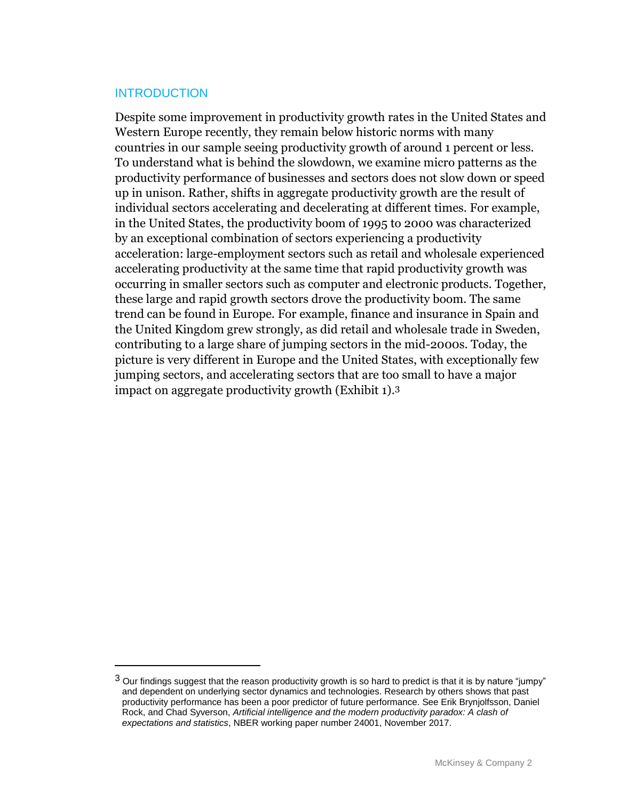### **INTRODUCTION**

 $\overline{a}$ 

Despite some improvement in productivity growth rates in the United States and Western Europe recently, they remain below historic norms with many countries in our sample seeing productivity growth of around 1 percent or less. To understand what is behind the slowdown, we examine micro patterns as the productivity performance of businesses and sectors does not slow down or speed up in unison. Rather, shifts in aggregate productivity growth are the result of individual sectors accelerating and decelerating at different times. For example, in the United States, the productivity boom of 1995 to 2000 was characterized by an exceptional combination of sectors experiencing a productivity acceleration: large-employment sectors such as retail and wholesale experienced accelerating productivity at the same time that rapid productivity growth was occurring in smaller sectors such as computer and electronic products. Together, these large and rapid growth sectors drove the productivity boom. The same trend can be found in Europe. For example, finance and insurance in Spain and the United Kingdom grew strongly, as did retail and wholesale trade in Sweden, contributing to a large share of jumping sectors in the mid-2000s. Today, the picture is very different in Europe and the United States, with exceptionally few jumping sectors, and accelerating sectors that are too small to have a major impact on aggregate productivity growth (Exhibit 1). 3

 $3$  Our findings suggest that the reason productivity growth is so hard to predict is that it is by nature "jumpy" and dependent on underlying sector dynamics and technologies. Research by others shows that past productivity performance has been a poor predictor of future performance. See Erik Brynjolfsson, Daniel Rock, and Chad Syverson, *Artificial intelligence and the modern productivity paradox: A clash of expectations and statistics*, NBER working paper number 24001, November 2017.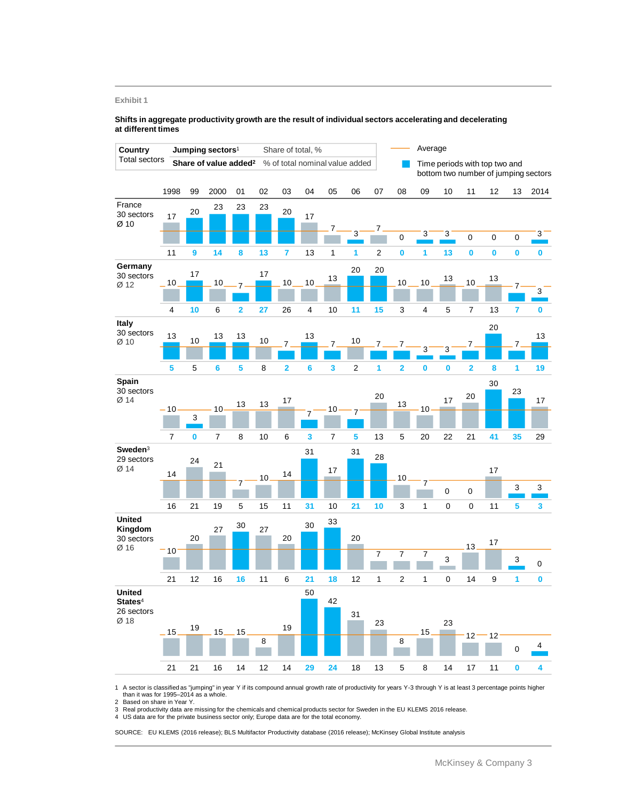#### **Exhibit 1**

#### **Shifts in aggregate productivity growth are the result of individual sectors accelerating and decelerating at different times**



 A sector is classified as "jumping" in year Y if its compound annual growth rate of productivity for years Y-3 through Y is at least 3 percentage points higher than it was for 1995–2014 as a whole.

Based on share in Year Y.

Real productivity data are missing for the chemicals and chemical products sector for Sweden in the EU KLEMS 2016 release. A Real productivity data are missing for the chemicals and chemical producto bodies. The US data are for the private business sector only; Europe data are for the total economy.

SOURCE: EU KLEMS (2016 release); BLS Multifactor Productivity database (2016 release); McKinsey Global Institute analysis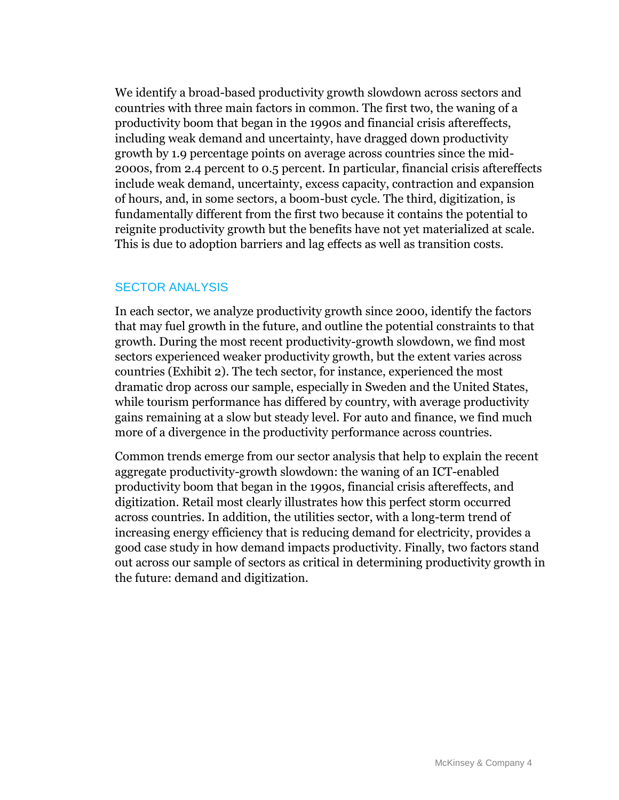We identify a broad-based productivity growth slowdown across sectors and countries with three main factors in common. The first two, the waning of a productivity boom that began in the 1990s and financial crisis aftereffects, including weak demand and uncertainty, have dragged down productivity growth by 1.9 percentage points on average across countries since the mid-2000s, from 2.4 percent to 0.5 percent. In particular, financial crisis aftereffects include weak demand, uncertainty, excess capacity, contraction and expansion of hours, and, in some sectors, a boom-bust cycle. The third, digitization, is fundamentally different from the first two because it contains the potential to reignite productivity growth but the benefits have not yet materialized at scale. This is due to adoption barriers and lag effects as well as transition costs.

### SECTOR ANALYSIS

In each sector, we analyze productivity growth since 2000, identify the factors that may fuel growth in the future, and outline the potential constraints to that growth. During the most recent productivity-growth slowdown, we find most sectors experienced weaker productivity growth, but the extent varies across countries (Exhibit 2). The tech sector, for instance, experienced the most dramatic drop across our sample, especially in Sweden and the United States, while tourism performance has differed by country, with average productivity gains remaining at a slow but steady level. For auto and finance, we find much more of a divergence in the productivity performance across countries.

Common trends emerge from our sector analysis that help to explain the recent aggregate productivity-growth slowdown: the waning of an ICT-enabled productivity boom that began in the 1990s, financial crisis aftereffects, and digitization. Retail most clearly illustrates how this perfect storm occurred across countries. In addition, the utilities sector, with a long-term trend of increasing energy efficiency that is reducing demand for electricity, provides a good case study in how demand impacts productivity. Finally, two factors stand out across our sample of sectors as critical in determining productivity growth in the future: demand and digitization.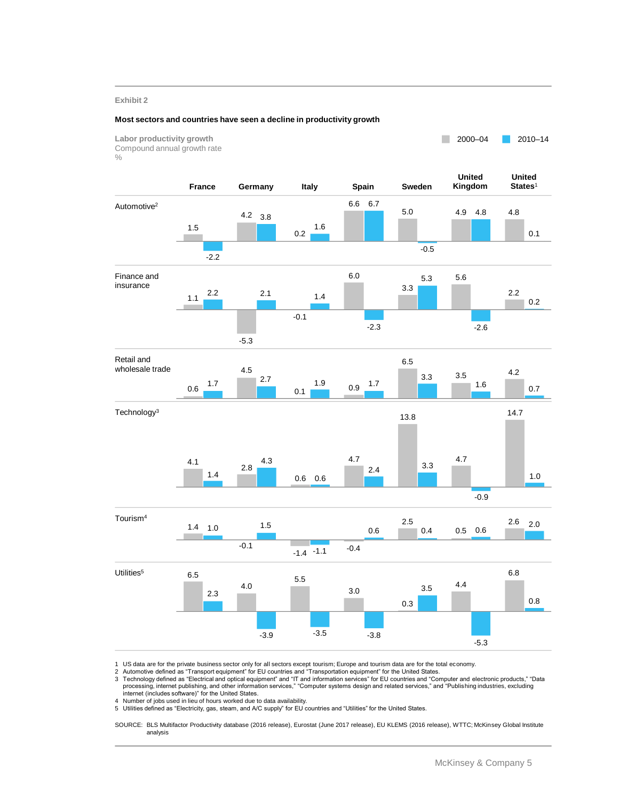#### **Exhibit 2**

#### **Most sectors and countries have seen a decline in productivity growth**



1 US data are for the private business sector only for all sectors except tourism; Europe and tourism data are for the total economy.<br>2 Automotive defined as "Transport equipment" for EU countries and "Transportation eq

3 Technology defined as "Electrical and optical equipment" and "IT and information services" for EU countries and "Computer and electronic products," "Data<br>processing, internet publishing, and other information services," internet (includes software)" for the United States.

4 Number of jobs used in lieu of hours worked due to data availability.

5 Utilities defined as "Electricity, gas, steam, and A/C supply" for EU countries and "Utilities" for the United States.

SOURCE: BLS Multifactor Productivity database (2016 release), Eurostat (June 2017 release), EU KLEMS (2016 release), WTTC; McKinsey Global Institute analysis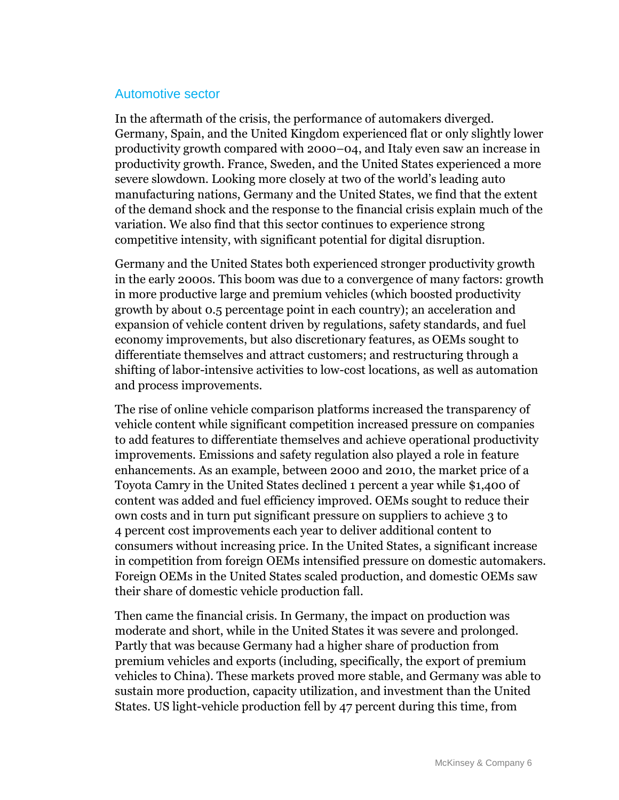### Automotive sector

In the aftermath of the crisis, the performance of automakers diverged. Germany, Spain, and the United Kingdom experienced flat or only slightly lower productivity growth compared with 2000–04, and Italy even saw an increase in productivity growth. France, Sweden, and the United States experienced a more severe slowdown. Looking more closely at two of the world's leading auto manufacturing nations, Germany and the United States, we find that the extent of the demand shock and the response to the financial crisis explain much of the variation. We also find that this sector continues to experience strong competitive intensity, with significant potential for digital disruption.

Germany and the United States both experienced stronger productivity growth in the early 2000s. This boom was due to a convergence of many factors: growth in more productive large and premium vehicles (which boosted productivity growth by about 0.5 percentage point in each country); an acceleration and expansion of vehicle content driven by regulations, safety standards, and fuel economy improvements, but also discretionary features, as OEMs sought to differentiate themselves and attract customers; and restructuring through a shifting of labor-intensive activities to low-cost locations, as well as automation and process improvements.

The rise of online vehicle comparison platforms increased the transparency of vehicle content while significant competition increased pressure on companies to add features to differentiate themselves and achieve operational productivity improvements. Emissions and safety regulation also played a role in feature enhancements. As an example, between 2000 and 2010, the market price of a Toyota Camry in the United States declined 1 percent a year while \$1,400 of content was added and fuel efficiency improved. OEMs sought to reduce their own costs and in turn put significant pressure on suppliers to achieve 3 to 4 percent cost improvements each year to deliver additional content to consumers without increasing price. In the United States, a significant increase in competition from foreign OEMs intensified pressure on domestic automakers. Foreign OEMs in the United States scaled production, and domestic OEMs saw their share of domestic vehicle production fall.

Then came the financial crisis. In Germany, the impact on production was moderate and short, while in the United States it was severe and prolonged. Partly that was because Germany had a higher share of production from premium vehicles and exports (including, specifically, the export of premium vehicles to China). These markets proved more stable, and Germany was able to sustain more production, capacity utilization, and investment than the United States. US light-vehicle production fell by 47 percent during this time, from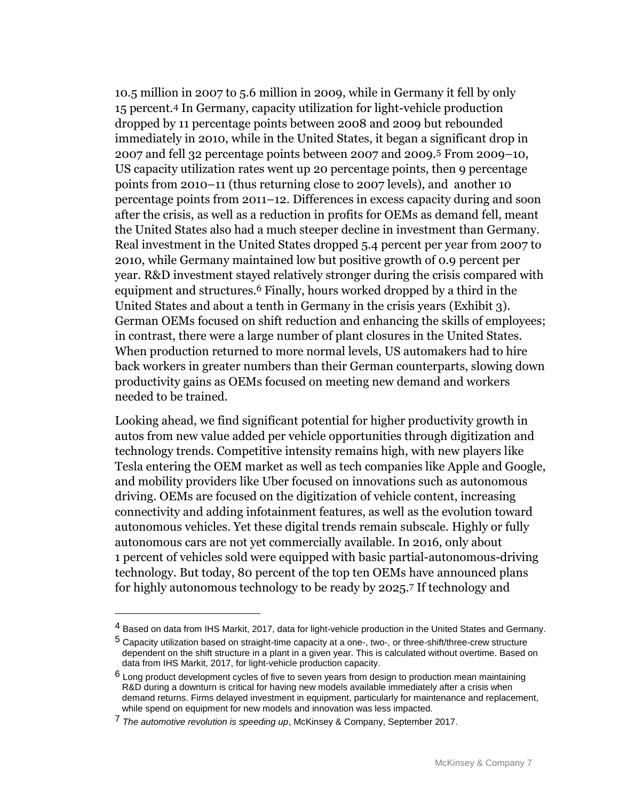10.5 million in 2007 to 5.6 million in 2009, while in Germany it fell by only 15 percent.4 In Germany, capacity utilization for light-vehicle production dropped by 11 percentage points between 2008 and 2009 but rebounded immediately in 2010, while in the United States, it began a significant drop in 2007 and fell 32 percentage points between 2007 and 2009.5 From 2009–10, US capacity utilization rates went up 20 percentage points, then 9 percentage points from 2010–11 (thus returning close to 2007 levels), and another 10 percentage points from 2011–12. Differences in excess capacity during and soon after the crisis, as well as a reduction in profits for OEMs as demand fell, meant the United States also had a much steeper decline in investment than Germany. Real investment in the United States dropped 5.4 percent per year from 2007 to 2010, while Germany maintained low but positive growth of 0.9 percent per year. R&D investment stayed relatively stronger during the crisis compared with equipment and structures.6 Finally, hours worked dropped by a third in the United States and about a tenth in Germany in the crisis years (Exhibit 3). German OEMs focused on shift reduction and enhancing the skills of employees; in contrast, there were a large number of plant closures in the United States. When production returned to more normal levels, US automakers had to hire back workers in greater numbers than their German counterparts, slowing down productivity gains as OEMs focused on meeting new demand and workers needed to be trained.

Looking ahead, we find significant potential for higher productivity growth in autos from new value added per vehicle opportunities through digitization and technology trends. Competitive intensity remains high, with new players like Tesla entering the OEM market as well as tech companies like Apple and Google, and mobility providers like Uber focused on innovations such as autonomous driving. OEMs are focused on the digitization of vehicle content, increasing connectivity and adding infotainment features, as well as the evolution toward autonomous vehicles. Yet these digital trends remain subscale. Highly or fully autonomous cars are not yet commercially available. In 2016, only about 1 percent of vehicles sold were equipped with basic partial-autonomous-driving technology. But today, 80 percent of the top ten OEMs have announced plans for highly autonomous technology to be ready by 2025.7 If technology and

<sup>4</sup> Based on data from IHS Markit, 2017, data for light-vehicle production in the United States and Germany.

<sup>5</sup> Capacity utilization based on straight-time capacity at a one-, two-, or three-shift/three-crew structure dependent on the shift structure in a plant in a given year. This is calculated without overtime. Based on data from IHS Markit, 2017, for light-vehicle production capacity.

 $6$  Long product development cycles of five to seven years from design to production mean maintaining R&D during a downturn is critical for having new models available immediately after a crisis when demand returns. Firms delayed investment in equipment, particularly for maintenance and replacement, while spend on equipment for new models and innovation was less impacted.

<sup>7</sup> *The automotive revolution is speeding up*, McKinsey & Company, September 2017.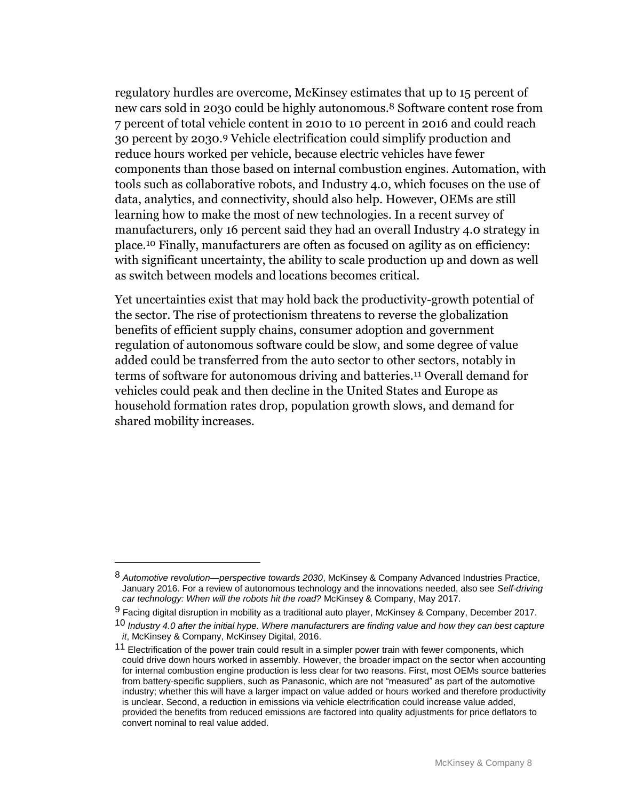regulatory hurdles are overcome, McKinsey estimates that up to 15 percent of new cars sold in 2030 could be highly autonomous.8 Software content rose from 7 percent of total vehicle content in 2010 to 10 percent in 2016 and could reach 30 percent by 2030.9 Vehicle electrification could simplify production and reduce hours worked per vehicle, because electric vehicles have fewer components than those based on internal combustion engines. Automation, with tools such as collaborative robots, and Industry 4.0, which focuses on the use of data, analytics, and connectivity, should also help. However, OEMs are still learning how to make the most of new technologies. In a recent survey of manufacturers, only 16 percent said they had an overall Industry 4.0 strategy in place.10 Finally, manufacturers are often as focused on agility as on efficiency: with significant uncertainty, the ability to scale production up and down as well as switch between models and locations becomes critical.

Yet uncertainties exist that may hold back the productivity-growth potential of the sector. The rise of protectionism threatens to reverse the globalization benefits of efficient supply chains, consumer adoption and government regulation of autonomous software could be slow, and some degree of value added could be transferred from the auto sector to other sectors, notably in terms of software for autonomous driving and batteries.11 Overall demand for vehicles could peak and then decline in the United States and Europe as household formation rates drop, population growth slows, and demand for shared mobility increases.

<sup>8</sup> *Automotive revolution—perspective towards 2030*, McKinsey & Company Advanced Industries Practice, January 2016. For a review of autonomous technology and the innovations needed, also see *Self-driving car technology: When will the robots hit the road?* McKinsey & Company, May 2017.

<sup>9</sup> Facing digital disruption in mobility as a traditional auto player, McKinsey & Company, December 2017.

<sup>10</sup> *Industry 4.0 after the initial hype. Where manufacturers are finding value and how they can best capture it*, McKinsey & Company, McKinsey Digital, 2016.

<sup>&</sup>lt;sup>11</sup> Electrification of the power train could result in a simpler power train with fewer components, which could drive down hours worked in assembly. However, the broader impact on the sector when accounting for internal combustion engine production is less clear for two reasons. First, most OEMs source batteries from battery-specific suppliers, such as Panasonic, which are not "measured" as part of the automotive industry; whether this will have a larger impact on value added or hours worked and therefore productivity is unclear. Second, a reduction in emissions via vehicle electrification could increase value added, provided the benefits from reduced emissions are factored into quality adjustments for price deflators to convert nominal to real value added.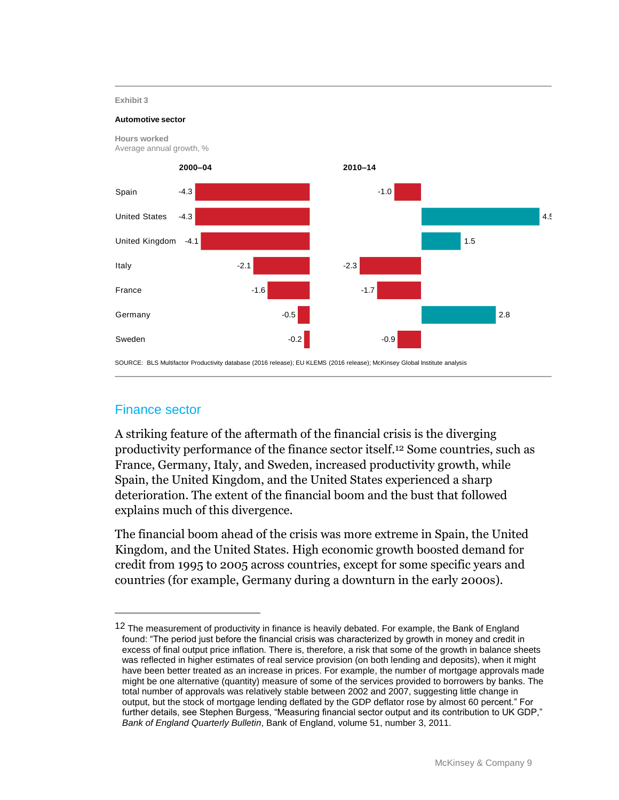#### **Exhibit 3**

#### **Automotive sector**



### Finance sector

 $\overline{a}$ 

A striking feature of the aftermath of the financial crisis is the diverging productivity performance of the finance sector itself.12 Some countries, such as France, Germany, Italy, and Sweden, increased productivity growth, while Spain, the United Kingdom, and the United States experienced a sharp deterioration. The extent of the financial boom and the bust that followed explains much of this divergence.

The financial boom ahead of the crisis was more extreme in Spain, the United Kingdom, and the United States. High economic growth boosted demand for credit from 1995 to 2005 across countries, except for some specific years and countries (for example, Germany during a downturn in the early 2000s).

<sup>&</sup>lt;sup>12</sup> The measurement of productivity in finance is heavily debated. For example, the Bank of England found: "The period just before the financial crisis was characterized by growth in money and credit in excess of final output price inflation. There is, therefore, a risk that some of the growth in balance sheets was reflected in higher estimates of real service provision (on both lending and deposits), when it might have been better treated as an increase in prices. For example, the number of mortgage approvals made might be one alternative (quantity) measure of some of the services provided to borrowers by banks. The total number of approvals was relatively stable between 2002 and 2007, suggesting little change in output, but the stock of mortgage lending deflated by the GDP deflator rose by almost 60 percent." For further details, see Stephen Burgess, "Measuring financial sector output and its contribution to UK GDP," *Bank of England Quarterly Bulletin*, Bank of England, volume 51, number 3, 2011.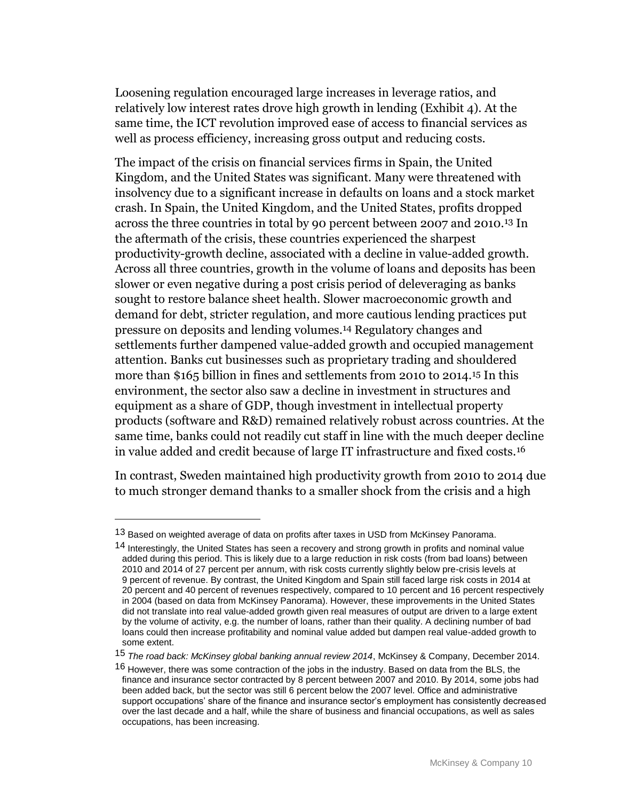Loosening regulation encouraged large increases in leverage ratios, and relatively low interest rates drove high growth in lending (Exhibit 4). At the same time, the ICT revolution improved ease of access to financial services as well as process efficiency, increasing gross output and reducing costs.

The impact of the crisis on financial services firms in Spain, the United Kingdom, and the United States was significant. Many were threatened with insolvency due to a significant increase in defaults on loans and a stock market crash. In Spain, the United Kingdom, and the United States, profits dropped across the three countries in total by 90 percent between 2007 and 2010.13 In the aftermath of the crisis, these countries experienced the sharpest productivity-growth decline, associated with a decline in value-added growth. Across all three countries, growth in the volume of loans and deposits has been slower or even negative during a post crisis period of deleveraging as banks sought to restore balance sheet health. Slower macroeconomic growth and demand for debt, stricter regulation, and more cautious lending practices put pressure on deposits and lending volumes.14 Regulatory changes and settlements further dampened value-added growth and occupied management attention. Banks cut businesses such as proprietary trading and shouldered more than \$165 billion in fines and settlements from 2010 to 2014.15 In this environment, the sector also saw a decline in investment in structures and equipment as a share of GDP, though investment in intellectual property products (software and R&D) remained relatively robust across countries. At the same time, banks could not readily cut staff in line with the much deeper decline in value added and credit because of large IT infrastructure and fixed costs.16

In contrast, Sweden maintained high productivity growth from 2010 to 2014 due to much stronger demand thanks to a smaller shock from the crisis and a high

<sup>13</sup> Based on weighted average of data on profits after taxes in USD from McKinsey Panorama.

<sup>14</sup> Interestingly, the United States has seen a recovery and strong growth in profits and nominal value added during this period. This is likely due to a large reduction in risk costs (from bad loans) between 2010 and 2014 of 27 percent per annum, with risk costs currently slightly below pre-crisis levels at 9 percent of revenue. By contrast, the United Kingdom and Spain still faced large risk costs in 2014 at 20 percent and 40 percent of revenues respectively, compared to 10 percent and 16 percent respectively in 2004 (based on data from McKinsey Panorama). However, these improvements in the United States did not translate into real value-added growth given real measures of output are driven to a large extent by the volume of activity, e.g. the number of loans, rather than their quality. A declining number of bad loans could then increase profitability and nominal value added but dampen real value-added growth to some extent.

<sup>15</sup> *The road back: McKinsey global banking annual review 2014*, McKinsey & Company, December 2014.

<sup>&</sup>lt;sup>16</sup> However, there was some contraction of the jobs in the industry. Based on data from the BLS, the finance and insurance sector contracted by 8 percent between 2007 and 2010. By 2014, some jobs had been added back, but the sector was still 6 percent below the 2007 level. Office and administrative support occupations' share of the finance and insurance sector's employment has consistently decreased over the last decade and a half, while the share of business and financial occupations, as well as sales occupations, has been increasing.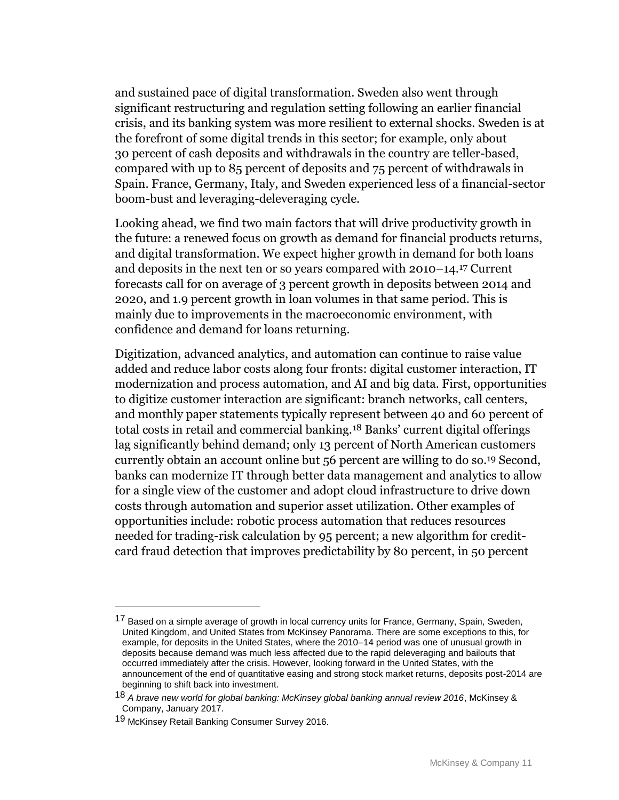and sustained pace of digital transformation. Sweden also went through significant restructuring and regulation setting following an earlier financial crisis, and its banking system was more resilient to external shocks. Sweden is at the forefront of some digital trends in this sector; for example, only about 30 percent of cash deposits and withdrawals in the country are teller-based, compared with up to 85 percent of deposits and 75 percent of withdrawals in Spain. France, Germany, Italy, and Sweden experienced less of a financial-sector boom-bust and leveraging-deleveraging cycle.

Looking ahead, we find two main factors that will drive productivity growth in the future: a renewed focus on growth as demand for financial products returns, and digital transformation. We expect higher growth in demand for both loans and deposits in the next ten or so years compared with 2010–14.17 Current forecasts call for on average of 3 percent growth in deposits between 2014 and 2020, and 1.9 percent growth in loan volumes in that same period. This is mainly due to improvements in the macroeconomic environment, with confidence and demand for loans returning.

Digitization, advanced analytics, and automation can continue to raise value added and reduce labor costs along four fronts: digital customer interaction, IT modernization and process automation, and AI and big data. First, opportunities to digitize customer interaction are significant: branch networks, call centers, and monthly paper statements typically represent between 40 and 60 percent of total costs in retail and commercial banking.18 Banks' current digital offerings lag significantly behind demand; only 13 percent of North American customers currently obtain an account online but 56 percent are willing to do so.19 Second, banks can modernize IT through better data management and analytics to allow for a single view of the customer and adopt cloud infrastructure to drive down costs through automation and superior asset utilization. Other examples of opportunities include: robotic process automation that reduces resources needed for trading-risk calculation by 95 percent; a new algorithm for creditcard fraud detection that improves predictability by 80 percent, in 50 percent

<sup>&</sup>lt;sup>17</sup> Based on a simple average of growth in local currency units for France, Germany, Spain, Sweden, United Kingdom, and United States from McKinsey Panorama. There are some exceptions to this, for example, for deposits in the United States, where the 2010–14 period was one of unusual growth in deposits because demand was much less affected due to the rapid deleveraging and bailouts that occurred immediately after the crisis. However, looking forward in the United States, with the announcement of the end of quantitative easing and strong stock market returns, deposits post-2014 are beginning to shift back into investment.

<sup>18</sup> *A brave new world for global banking: McKinsey global banking annual review 2016*, McKinsey & Company, January 2017.

<sup>19</sup> McKinsey Retail Banking Consumer Survey 2016.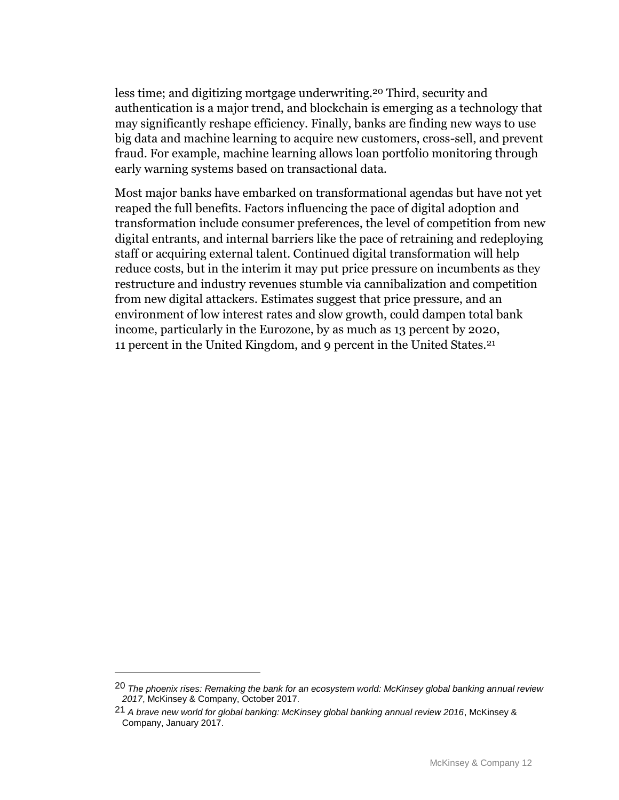less time; and digitizing mortgage underwriting.20 Third, security and authentication is a major trend, and blockchain is emerging as a technology that may significantly reshape efficiency. Finally, banks are finding new ways to use big data and machine learning to acquire new customers, cross-sell, and prevent fraud. For example, machine learning allows loan portfolio monitoring through early warning systems based on transactional data.

Most major banks have embarked on transformational agendas but have not yet reaped the full benefits. Factors influencing the pace of digital adoption and transformation include consumer preferences, the level of competition from new digital entrants, and internal barriers like the pace of retraining and redeploying staff or acquiring external talent. Continued digital transformation will help reduce costs, but in the interim it may put price pressure on incumbents as they restructure and industry revenues stumble via cannibalization and competition from new digital attackers. Estimates suggest that price pressure, and an environment of low interest rates and slow growth, could dampen total bank income, particularly in the Eurozone, by as much as 13 percent by 2020, 11 percent in the United Kingdom, and 9 percent in the United States.21

<sup>20</sup> *The phoenix rises: Remaking the bank for an ecosystem world: McKinsey global banking annual review 2017*, McKinsey & Company, October 2017.

<sup>21</sup> *A brave new world for global banking: McKinsey global banking annual review 2016*, McKinsey & Company, January 2017.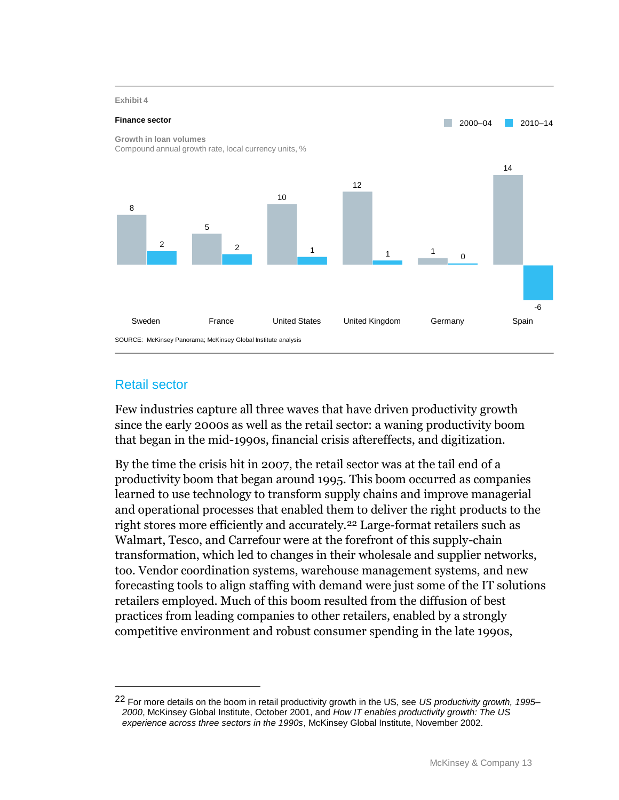

# Retail sector

 $\overline{a}$ 

Few industries capture all three waves that have driven productivity growth since the early 2000s as well as the retail sector: a waning productivity boom that began in the mid-1990s, financial crisis aftereffects, and digitization.

By the time the crisis hit in 2007, the retail sector was at the tail end of a productivity boom that began around 1995. This boom occurred as companies learned to use technology to transform supply chains and improve managerial and operational processes that enabled them to deliver the right products to the right stores more efficiently and accurately.22 Large-format retailers such as Walmart, Tesco, and Carrefour were at the forefront of this supply-chain transformation, which led to changes in their wholesale and supplier networks, too. Vendor coordination systems, warehouse management systems, and new forecasting tools to align staffing with demand were just some of the IT solutions retailers employed. Much of this boom resulted from the diffusion of best practices from leading companies to other retailers, enabled by a strongly competitive environment and robust consumer spending in the late 1990s,

<sup>22</sup> For more details on the boom in retail productivity growth in the US, see *US productivity growth, 1995– 2000*, McKinsey Global Institute, October 2001, and *How IT enables productivity growth: The US experience across three sectors in the 1990s*, McKinsey Global Institute, November 2002.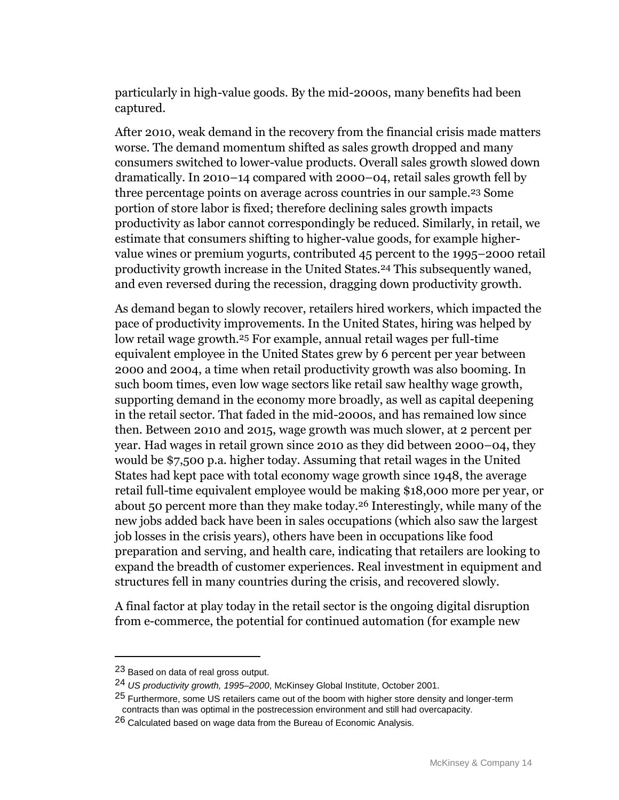particularly in high-value goods. By the mid-2000s, many benefits had been captured.

After 2010, weak demand in the recovery from the financial crisis made matters worse. The demand momentum shifted as sales growth dropped and many consumers switched to lower-value products. Overall sales growth slowed down dramatically. In 2010–14 compared with 2000–04, retail sales growth fell by three percentage points on average across countries in our sample.23 Some portion of store labor is fixed; therefore declining sales growth impacts productivity as labor cannot correspondingly be reduced. Similarly, in retail, we estimate that consumers shifting to higher-value goods, for example highervalue wines or premium yogurts, contributed 45 percent to the 1995–2000 retail productivity growth increase in the United States.24 This subsequently waned, and even reversed during the recession, dragging down productivity growth.

As demand began to slowly recover, retailers hired workers, which impacted the pace of productivity improvements. In the United States, hiring was helped by low retail wage growth.25 For example, annual retail wages per full-time equivalent employee in the United States grew by 6 percent per year between 2000 and 2004, a time when retail productivity growth was also booming. In such boom times, even low wage sectors like retail saw healthy wage growth, supporting demand in the economy more broadly, as well as capital deepening in the retail sector. That faded in the mid-2000s, and has remained low since then. Between 2010 and 2015, wage growth was much slower, at 2 percent per year. Had wages in retail grown since 2010 as they did between 2000–04, they would be \$7,500 p.a. higher today. Assuming that retail wages in the United States had kept pace with total economy wage growth since 1948, the average retail full-time equivalent employee would be making \$18,000 more per year, or about 50 percent more than they make today.26 Interestingly, while many of the new jobs added back have been in sales occupations (which also saw the largest job losses in the crisis years), others have been in occupations like food preparation and serving, and health care, indicating that retailers are looking to expand the breadth of customer experiences. Real investment in equipment and structures fell in many countries during the crisis, and recovered slowly.

A final factor at play today in the retail sector is the ongoing digital disruption from e-commerce, the potential for continued automation (for example new

<sup>23</sup> Based on data of real gross output.

<sup>24</sup> *US productivity growth, 1995–2000*, McKinsey Global Institute, October 2001.

<sup>&</sup>lt;sup>25</sup> Furthermore, some US retailers came out of the boom with higher store density and longer-term contracts than was optimal in the postrecession environment and still had overcapacity.

<sup>&</sup>lt;sup>26</sup> Calculated based on wage data from the Bureau of Economic Analysis.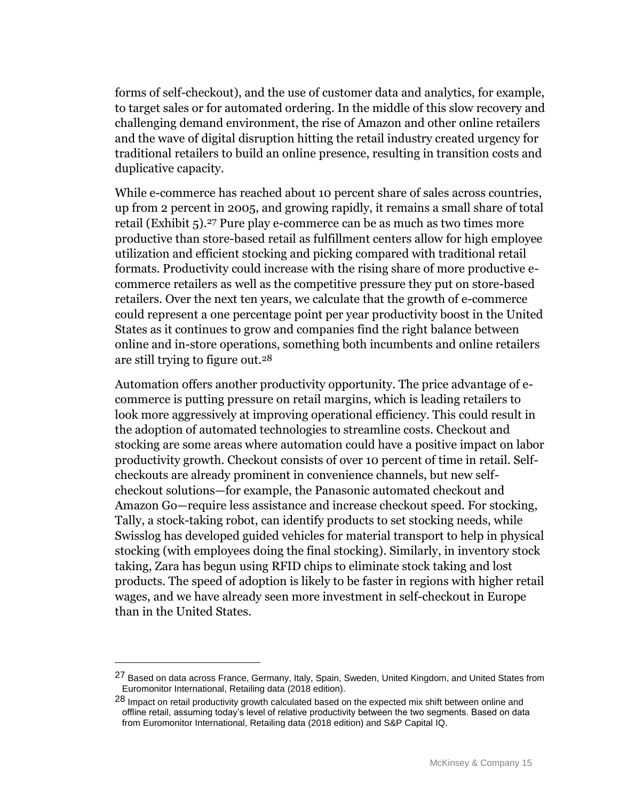forms of self-checkout), and the use of customer data and analytics, for example, to target sales or for automated ordering. In the middle of this slow recovery and challenging demand environment, the rise of Amazon and other online retailers and the wave of digital disruption hitting the retail industry created urgency for traditional retailers to build an online presence, resulting in transition costs and duplicative capacity.

While e-commerce has reached about 10 percent share of sales across countries, up from 2 percent in 2005, and growing rapidly, it remains a small share of total retail (Exhibit 5). 27 Pure play e-commerce can be as much as two times more productive than store-based retail as fulfillment centers allow for high employee utilization and efficient stocking and picking compared with traditional retail formats. Productivity could increase with the rising share of more productive ecommerce retailers as well as the competitive pressure they put on store-based retailers. Over the next ten years, we calculate that the growth of e-commerce could represent a one percentage point per year productivity boost in the United States as it continues to grow and companies find the right balance between online and in-store operations, something both incumbents and online retailers are still trying to figure out.28

Automation offers another productivity opportunity. The price advantage of ecommerce is putting pressure on retail margins, which is leading retailers to look more aggressively at improving operational efficiency. This could result in the adoption of automated technologies to streamline costs. Checkout and stocking are some areas where automation could have a positive impact on labor productivity growth. Checkout consists of over 10 percent of time in retail. Selfcheckouts are already prominent in convenience channels, but new selfcheckout solutions—for example, the Panasonic automated checkout and Amazon Go—require less assistance and increase checkout speed. For stocking, Tally, a stock-taking robot, can identify products to set stocking needs, while Swisslog has developed guided vehicles for material transport to help in physical stocking (with employees doing the final stocking). Similarly, in inventory stock taking, Zara has begun using RFID chips to eliminate stock taking and lost products. The speed of adoption is likely to be faster in regions with higher retail wages, and we have already seen more investment in self-checkout in Europe than in the United States.

<sup>27</sup> Based on data across France, Germany, Italy, Spain, Sweden, United Kingdom, and United States from Euromonitor International, Retailing data (2018 edition).

<sup>28</sup> Impact on retail productivity growth calculated based on the expected mix shift between online and offline retail, assuming today's level of relative productivity between the two segments. Based on data from Euromonitor International, Retailing data (2018 edition) and S&P Capital IQ.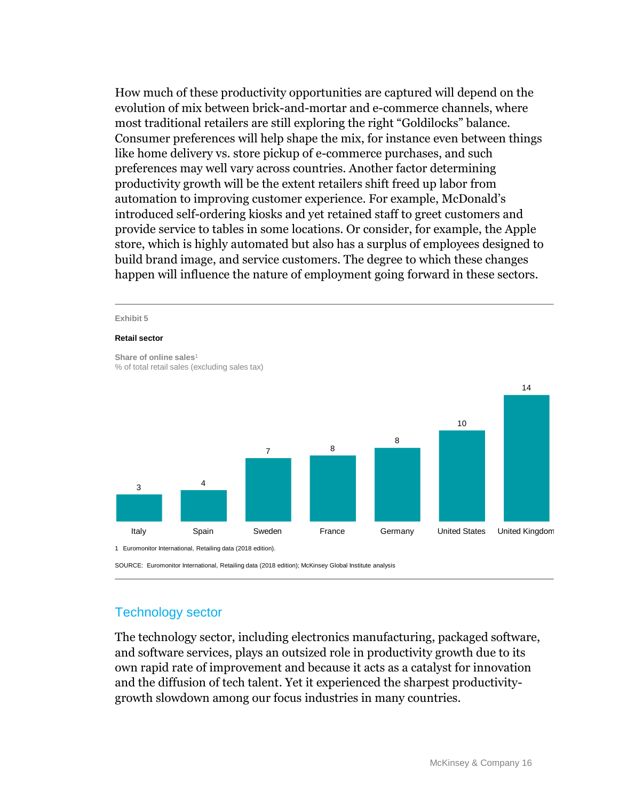How much of these productivity opportunities are captured will depend on the evolution of mix between brick-and-mortar and e-commerce channels, where most traditional retailers are still exploring the right "Goldilocks" balance. Consumer preferences will help shape the mix, for instance even between things like home delivery vs. store pickup of e-commerce purchases, and such preferences may well vary across countries. Another factor determining productivity growth will be the extent retailers shift freed up labor from automation to improving customer experience. For example, McDonald's introduced self-ordering kiosks and yet retained staff to greet customers and provide service to tables in some locations. Or consider, for example, the Apple store, which is highly automated but also has a surplus of employees designed to build brand image, and service customers. The degree to which these changes happen will influence the nature of employment going forward in these sectors.



SOURCE: Euromonitor International, Retailing data (2018 edition); McKinsey Global Institute analysis

## Technology sector

The technology sector, including electronics manufacturing, packaged software, and software services, plays an outsized role in productivity growth due to its own rapid rate of improvement and because it acts as a catalyst for innovation and the diffusion of tech talent. Yet it experienced the sharpest productivitygrowth slowdown among our focus industries in many countries.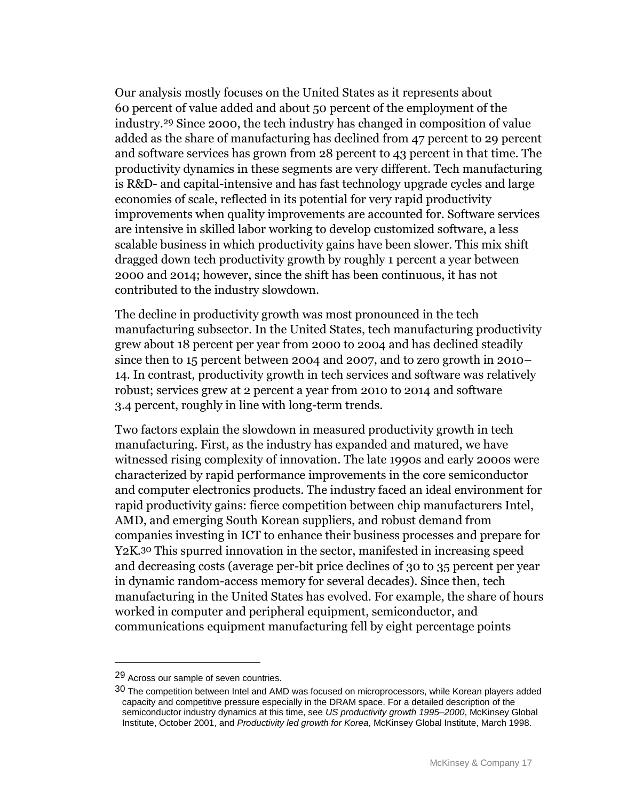Our analysis mostly focuses on the United States as it represents about 60 percent of value added and about 50 percent of the employment of the industry.29 Since 2000, the tech industry has changed in composition of value added as the share of manufacturing has declined from 47 percent to 29 percent and software services has grown from 28 percent to 43 percent in that time. The productivity dynamics in these segments are very different. Tech manufacturing is R&D- and capital-intensive and has fast technology upgrade cycles and large economies of scale, reflected in its potential for very rapid productivity improvements when quality improvements are accounted for. Software services are intensive in skilled labor working to develop customized software, a less scalable business in which productivity gains have been slower. This mix shift dragged down tech productivity growth by roughly 1 percent a year between 2000 and 2014; however, since the shift has been continuous, it has not contributed to the industry slowdown.

The decline in productivity growth was most pronounced in the tech manufacturing subsector. In the United States, tech manufacturing productivity grew about 18 percent per year from 2000 to 2004 and has declined steadily since then to 15 percent between 2004 and 2007, and to zero growth in 2010– 14. In contrast, productivity growth in tech services and software was relatively robust; services grew at 2 percent a year from 2010 to 2014 and software 3.4 percent, roughly in line with long-term trends.

Two factors explain the slowdown in measured productivity growth in tech manufacturing. First, as the industry has expanded and matured, we have witnessed rising complexity of innovation. The late 1990s and early 2000s were characterized by rapid performance improvements in the core semiconductor and computer electronics products. The industry faced an ideal environment for rapid productivity gains: fierce competition between chip manufacturers Intel, AMD, and emerging South Korean suppliers, and robust demand from companies investing in ICT to enhance their business processes and prepare for Y2K.30 This spurred innovation in the sector, manifested in increasing speed and decreasing costs (average per-bit price declines of 30 to 35 percent per year in dynamic random-access memory for several decades). Since then, tech manufacturing in the United States has evolved. For example, the share of hours worked in computer and peripheral equipment, semiconductor, and communications equipment manufacturing fell by eight percentage points

<sup>29</sup> Across our sample of seven countries.

<sup>30</sup> The competition between Intel and AMD was focused on microprocessors, while Korean players added capacity and competitive pressure especially in the DRAM space. For a detailed description of the semiconductor industry dynamics at this time, see *US productivity growth 1995–2000*, McKinsey Global Institute, October 2001, and *Productivity led growth for Korea*, McKinsey Global Institute, March 1998.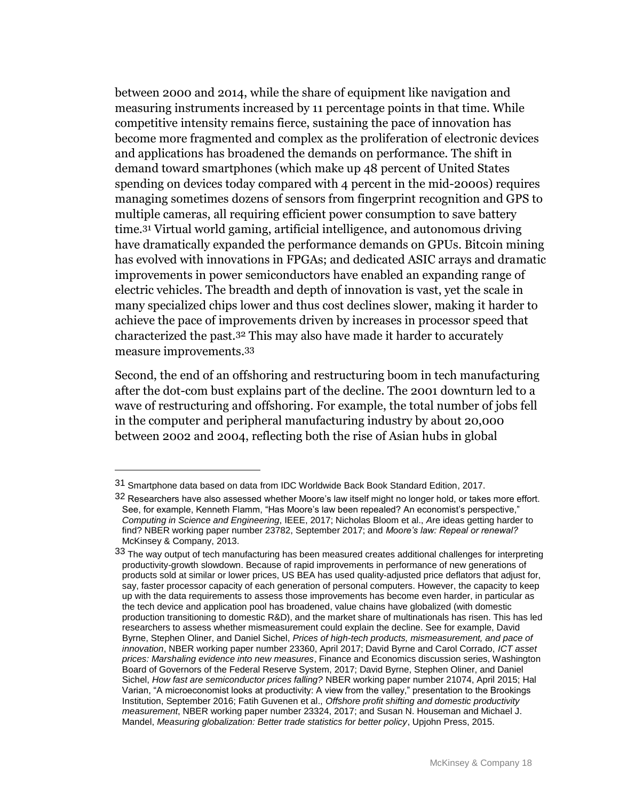between 2000 and 2014, while the share of equipment like navigation and measuring instruments increased by 11 percentage points in that time. While competitive intensity remains fierce, sustaining the pace of innovation has become more fragmented and complex as the proliferation of electronic devices and applications has broadened the demands on performance. The shift in demand toward smartphones (which make up 48 percent of United States spending on devices today compared with 4 percent in the mid-2000s) requires managing sometimes dozens of sensors from fingerprint recognition and GPS to multiple cameras, all requiring efficient power consumption to save battery time.31 Virtual world gaming, artificial intelligence, and autonomous driving have dramatically expanded the performance demands on GPUs. Bitcoin mining has evolved with innovations in FPGAs; and dedicated ASIC arrays and dramatic improvements in power semiconductors have enabled an expanding range of electric vehicles. The breadth and depth of innovation is vast, yet the scale in many specialized chips lower and thus cost declines slower, making it harder to achieve the pace of improvements driven by increases in processor speed that characterized the past.32 This may also have made it harder to accurately measure improvements.33

Second, the end of an offshoring and restructuring boom in tech manufacturing after the dot-com bust explains part of the decline. The 2001 downturn led to a wave of restructuring and offshoring. For example, the total number of jobs fell in the computer and peripheral manufacturing industry by about 20,000 between 2002 and 2004, reflecting both the rise of Asian hubs in global

<sup>31</sup> Smartphone data based on data from IDC Worldwide Back Book Standard Edition, 2017.

<sup>32</sup> Researchers have also assessed whether Moore's law itself might no longer hold, or takes more effort. See, for example, Kenneth Flamm, "Has Moore's law been repealed? An economist's perspective," *Computing in Science and Engineering*, IEEE, 2017; Nicholas Bloom et al., *A*re ideas getting harder to find? NBER working paper number 23782, September 2017; and *Moore's law: Repeal or renewal?* McKinsey & Company, 2013.

 $33$  The way output of tech manufacturing has been measured creates additional challenges for interpreting productivity-growth slowdown. Because of rapid improvements in performance of new generations of products sold at similar or lower prices, US BEA has used quality-adjusted price deflators that adjust for, say, faster processor capacity of each generation of personal computers. However, the capacity to keep up with the data requirements to assess those improvements has become even harder, in particular as the tech device and application pool has broadened, value chains have globalized (with domestic production transitioning to domestic R&D), and the market share of multinationals has risen. This has led researchers to assess whether mismeasurement could explain the decline. See for example, David Byrne, Stephen Oliner, and Daniel Sichel, *Prices of high-tech products, mismeasurement, and pace of innovation*, NBER working paper number 23360, April 2017; David Byrne and Carol Corrado, *ICT asset prices: Marshaling evidence into new measures*, Finance and Economics discussion series, Washington Board of Governors of the Federal Reserve System, 2017; David Byrne, Stephen Oliner, and Daniel Sichel, *How fast are semiconductor prices falling?* NBER working paper number 21074, April 2015; Hal Varian, "A microeconomist looks at productivity: A view from the valley," presentation to the Brookings Institution, September 2016; Fatih Guvenen et al., *Offshore profit shifting and domestic productivity measurement*, NBER working paper number 23324, 2017; and Susan N. Houseman and Michael J. Mandel, *Measuring globalization: Better trade statistics for better policy*, Upjohn Press, 2015.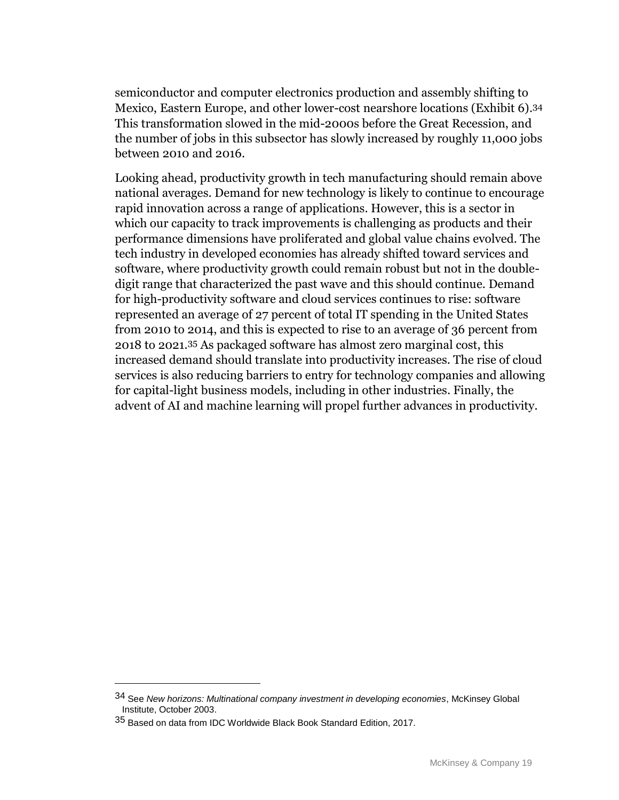semiconductor and computer electronics production and assembly shifting to Mexico, Eastern Europe, and other lower-cost nearshore locations (Exhibit 6). 34 This transformation slowed in the mid-2000s before the Great Recession, and the number of jobs in this subsector has slowly increased by roughly 11,000 jobs between 2010 and 2016.

Looking ahead, productivity growth in tech manufacturing should remain above national averages. Demand for new technology is likely to continue to encourage rapid innovation across a range of applications. However, this is a sector in which our capacity to track improvements is challenging as products and their performance dimensions have proliferated and global value chains evolved. The tech industry in developed economies has already shifted toward services and software, where productivity growth could remain robust but not in the doubledigit range that characterized the past wave and this should continue. Demand for high-productivity software and cloud services continues to rise: software represented an average of 27 percent of total IT spending in the United States from 2010 to 2014, and this is expected to rise to an average of 36 percent from 2018 to 2021.35 As packaged software has almost zero marginal cost, this increased demand should translate into productivity increases. The rise of cloud services is also reducing barriers to entry for technology companies and allowing for capital-light business models, including in other industries. Finally, the advent of AI and machine learning will propel further advances in productivity.

<sup>34</sup> See *New horizons: Multinational company investment in developing economies*, McKinsey Global Institute, October 2003.

<sup>35</sup> Based on data from IDC Worldwide Black Book Standard Edition, 2017.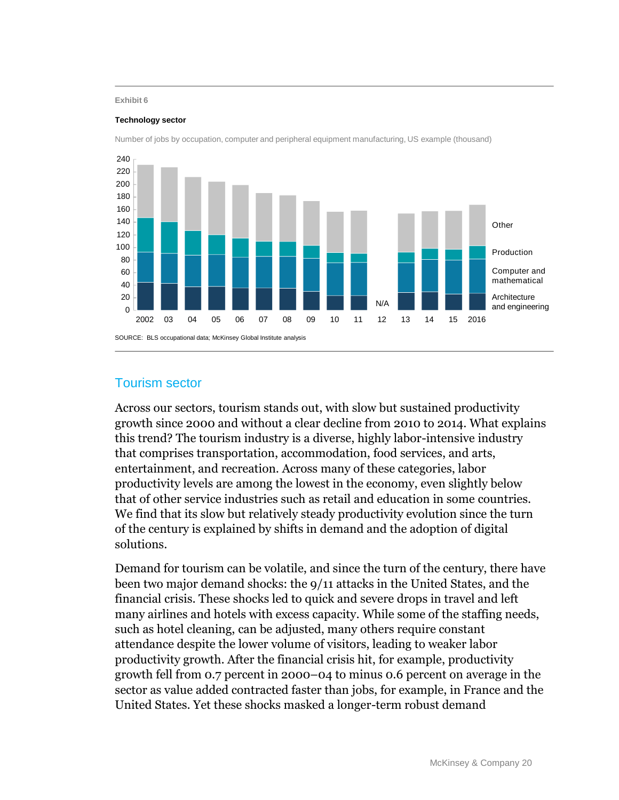#### **Exhibit 6**

#### **Technology sector**



Number of jobs by occupation, computer and peripheral equipment manufacturing, US example (thousand)

### Tourism sector

Across our sectors, tourism stands out, with slow but sustained productivity growth since 2000 and without a clear decline from 2010 to 2014. What explains this trend? The tourism industry is a diverse, highly labor-intensive industry that comprises transportation, accommodation, food services, and arts, entertainment, and recreation. Across many of these categories, labor productivity levels are among the lowest in the economy, even slightly below that of other service industries such as retail and education in some countries. We find that its slow but relatively steady productivity evolution since the turn of the century is explained by shifts in demand and the adoption of digital solutions.

Demand for tourism can be volatile, and since the turn of the century, there have been two major demand shocks: the 9/11 attacks in the United States, and the financial crisis. These shocks led to quick and severe drops in travel and left many airlines and hotels with excess capacity. While some of the staffing needs, such as hotel cleaning, can be adjusted, many others require constant attendance despite the lower volume of visitors, leading to weaker labor productivity growth. After the financial crisis hit, for example, productivity growth fell from 0.7 percent in 2000–04 to minus 0.6 percent on average in the sector as value added contracted faster than jobs, for example, in France and the United States. Yet these shocks masked a longer-term robust demand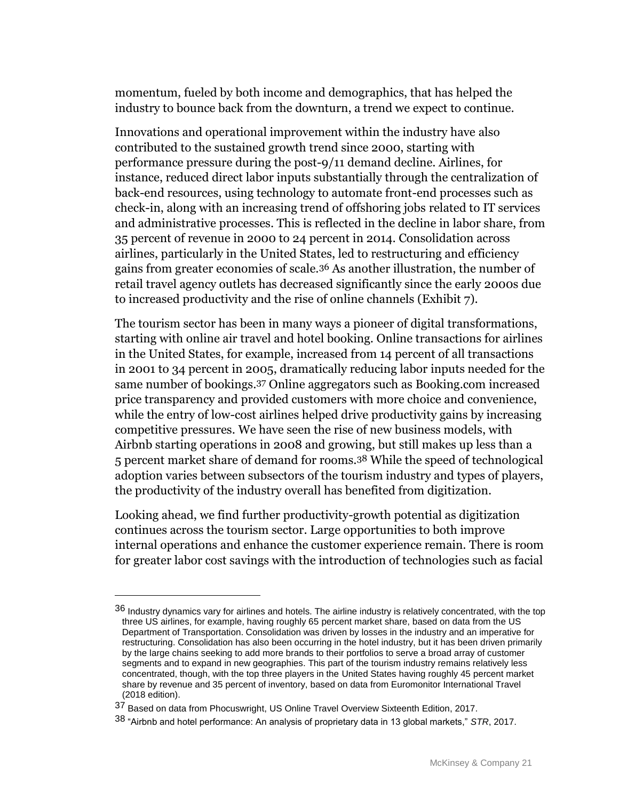momentum, fueled by both income and demographics, that has helped the industry to bounce back from the downturn, a trend we expect to continue.

Innovations and operational improvement within the industry have also contributed to the sustained growth trend since 2000, starting with performance pressure during the post-9/11 demand decline. Airlines, for instance, reduced direct labor inputs substantially through the centralization of back-end resources, using technology to automate front-end processes such as check-in, along with an increasing trend of offshoring jobs related to IT services and administrative processes. This is reflected in the decline in labor share, from 35 percent of revenue in 2000 to 24 percent in 2014. Consolidation across airlines, particularly in the United States, led to restructuring and efficiency gains from greater economies of scale.36 As another illustration, the number of retail travel agency outlets has decreased significantly since the early 2000s due to increased productivity and the rise of online channels (Exhibit 7).

The tourism sector has been in many ways a pioneer of digital transformations, starting with online air travel and hotel booking. Online transactions for airlines in the United States, for example, increased from 14 percent of all transactions in 2001 to 34 percent in 2005, dramatically reducing labor inputs needed for the same number of bookings.37 Online aggregators such as Booking.com increased price transparency and provided customers with more choice and convenience, while the entry of low-cost airlines helped drive productivity gains by increasing competitive pressures. We have seen the rise of new business models, with Airbnb starting operations in 2008 and growing, but still makes up less than a 5 percent market share of demand for rooms.38 While the speed of technological adoption varies between subsectors of the tourism industry and types of players, the productivity of the industry overall has benefited from digitization.

Looking ahead, we find further productivity-growth potential as digitization continues across the tourism sector. Large opportunities to both improve internal operations and enhance the customer experience remain. There is room for greater labor cost savings with the introduction of technologies such as facial

 $36$  Industry dynamics vary for airlines and hotels. The airline industry is relatively concentrated, with the top three US airlines, for example, having roughly 65 percent market share, based on data from the US Department of Transportation. Consolidation was driven by losses in the industry and an imperative for restructuring. Consolidation has also been occurring in the hotel industry, but it has been driven primarily by the large chains seeking to add more brands to their portfolios to serve a broad array of customer segments and to expand in new geographies. This part of the tourism industry remains relatively less concentrated, though, with the top three players in the United States having roughly 45 percent market share by revenue and 35 percent of inventory, based on data from Euromonitor International Travel (2018 edition).

<sup>37</sup> Based on data from Phocuswright, US Online Travel Overview Sixteenth Edition, 2017.

<sup>38</sup> "Airbnb and hotel performance: An analysis of proprietary data in 13 global markets," *STR*, 2017.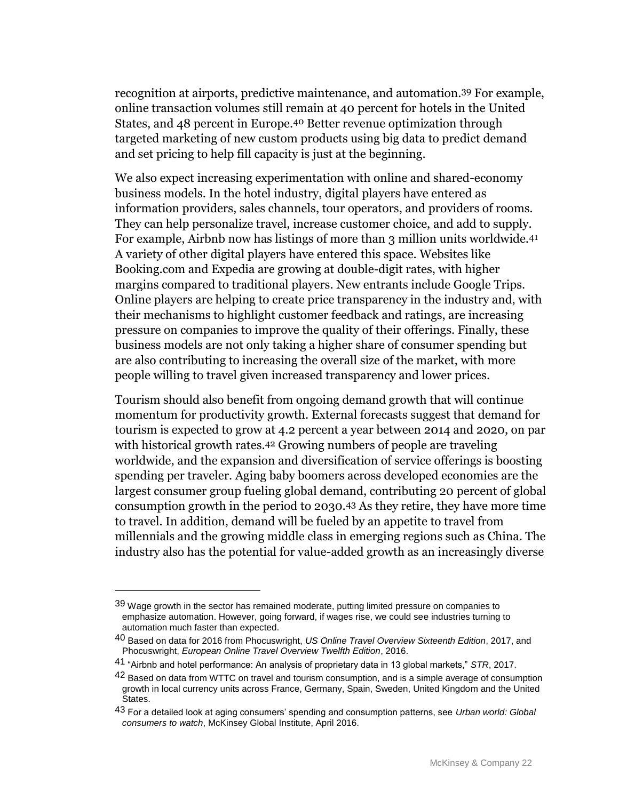recognition at airports, predictive maintenance, and automation.39 For example, online transaction volumes still remain at 40 percent for hotels in the United States, and 48 percent in Europe.40 Better revenue optimization through targeted marketing of new custom products using big data to predict demand and set pricing to help fill capacity is just at the beginning.

We also expect increasing experimentation with online and shared-economy business models. In the hotel industry, digital players have entered as information providers, sales channels, tour operators, and providers of rooms. They can help personalize travel, increase customer choice, and add to supply. For example, Airbnb now has listings of more than 3 million units worldwide.41 A variety of other digital players have entered this space. Websites like Booking.com and Expedia are growing at double-digit rates, with higher margins compared to traditional players. New entrants include Google Trips. Online players are helping to create price transparency in the industry and, with their mechanisms to highlight customer feedback and ratings, are increasing pressure on companies to improve the quality of their offerings. Finally, these business models are not only taking a higher share of consumer spending but are also contributing to increasing the overall size of the market, with more people willing to travel given increased transparency and lower prices.

Tourism should also benefit from ongoing demand growth that will continue momentum for productivity growth. External forecasts suggest that demand for tourism is expected to grow at 4.2 percent a year between 2014 and 2020, on par with historical growth rates.<sup>42</sup> Growing numbers of people are traveling worldwide, and the expansion and diversification of service offerings is boosting spending per traveler. Aging baby boomers across developed economies are the largest consumer group fueling global demand, contributing 20 percent of global consumption growth in the period to 2030.43 As they retire, they have more time to travel. In addition, demand will be fueled by an appetite to travel from millennials and the growing middle class in emerging regions such as China. The industry also has the potential for value-added growth as an increasingly diverse

<sup>39</sup> Wage growth in the sector has remained moderate, putting limited pressure on companies to emphasize automation. However, going forward, if wages rise, we could see industries turning to automation much faster than expected.

<sup>40</sup> Based on data for 2016 from Phocuswright, *US Online Travel Overview Sixteenth Edition*, 2017, and Phocuswright, *European Online Travel Overview Twelfth Edition*, 2016.

<sup>41</sup> "Airbnb and hotel performance: An analysis of proprietary data in 13 global markets," *STR*, 2017.

<sup>&</sup>lt;sup>42</sup> Based on data from WTTC on travel and tourism consumption, and is a simple average of consumption growth in local currency units across France, Germany, Spain, Sweden, United Kingdom and the United States.

<sup>43</sup> For a detailed look at aging consumers' spending and consumption patterns, see *Urban world: Global consumers to watch*, McKinsey Global Institute, April 2016.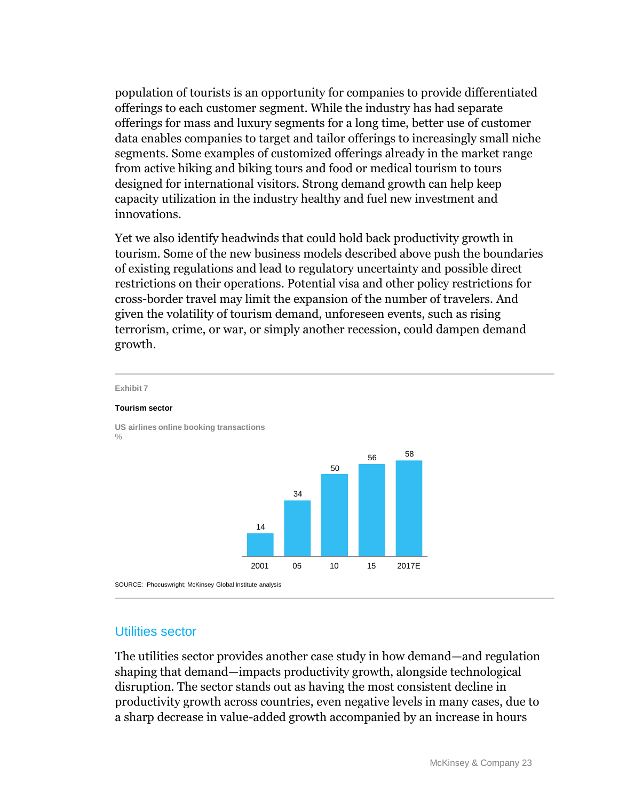population of tourists is an opportunity for companies to provide differentiated offerings to each customer segment. While the industry has had separate offerings for mass and luxury segments for a long time, better use of customer data enables companies to target and tailor offerings to increasingly small niche segments. Some examples of customized offerings already in the market range from active hiking and biking tours and food or medical tourism to tours designed for international visitors. Strong demand growth can help keep capacity utilization in the industry healthy and fuel new investment and innovations.

Yet we also identify headwinds that could hold back productivity growth in tourism. Some of the new business models described above push the boundaries of existing regulations and lead to regulatory uncertainty and possible direct restrictions on their operations. Potential visa and other policy restrictions for cross-border travel may limit the expansion of the number of travelers. And given the volatility of tourism demand, unforeseen events, such as rising terrorism, crime, or war, or simply another recession, could dampen demand growth.



### Utilities sector

The utilities sector provides another case study in how demand—and regulation shaping that demand—impacts productivity growth, alongside technological disruption. The sector stands out as having the most consistent decline in productivity growth across countries, even negative levels in many cases, due to a sharp decrease in value-added growth accompanied by an increase in hours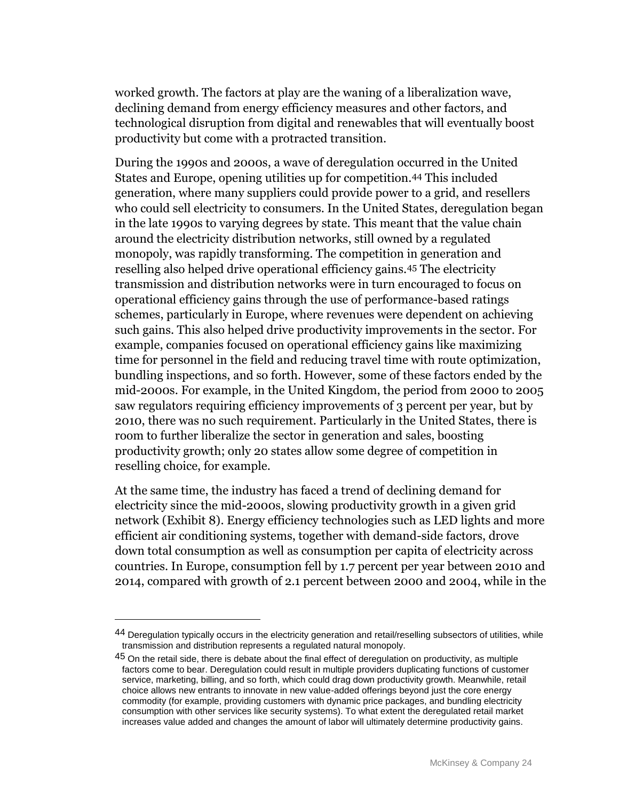worked growth. The factors at play are the waning of a liberalization wave, declining demand from energy efficiency measures and other factors, and technological disruption from digital and renewables that will eventually boost productivity but come with a protracted transition.

During the 1990s and 2000s, a wave of deregulation occurred in the United States and Europe, opening utilities up for competition.44 This included generation, where many suppliers could provide power to a grid, and resellers who could sell electricity to consumers. In the United States, deregulation began in the late 1990s to varying degrees by state. This meant that the value chain around the electricity distribution networks, still owned by a regulated monopoly, was rapidly transforming. The competition in generation and reselling also helped drive operational efficiency gains.45 The electricity transmission and distribution networks were in turn encouraged to focus on operational efficiency gains through the use of performance-based ratings schemes, particularly in Europe, where revenues were dependent on achieving such gains. This also helped drive productivity improvements in the sector. For example, companies focused on operational efficiency gains like maximizing time for personnel in the field and reducing travel time with route optimization, bundling inspections, and so forth. However, some of these factors ended by the mid-2000s. For example, in the United Kingdom, the period from 2000 to 2005 saw regulators requiring efficiency improvements of 3 percent per year, but by 2010, there was no such requirement. Particularly in the United States, there is room to further liberalize the sector in generation and sales, boosting productivity growth; only 20 states allow some degree of competition in reselling choice, for example.

At the same time, the industry has faced a trend of declining demand for electricity since the mid-2000s, slowing productivity growth in a given grid network (Exhibit 8). Energy efficiency technologies such as LED lights and more efficient air conditioning systems, together with demand-side factors, drove down total consumption as well as consumption per capita of electricity across countries. In Europe, consumption fell by 1.7 percent per year between 2010 and 2014, compared with growth of 2.1 percent between 2000 and 2004, while in the

<sup>44</sup> Deregulation typically occurs in the electricity generation and retail/reselling subsectors of utilities, while transmission and distribution represents a regulated natural monopoly.

 $45$  On the retail side, there is debate about the final effect of deregulation on productivity, as multiple factors come to bear. Deregulation could result in multiple providers duplicating functions of customer service, marketing, billing, and so forth, which could drag down productivity growth. Meanwhile, retail choice allows new entrants to innovate in new value-added offerings beyond just the core energy commodity (for example, providing customers with dynamic price packages, and bundling electricity consumption with other services like security systems). To what extent the deregulated retail market increases value added and changes the amount of labor will ultimately determine productivity gains.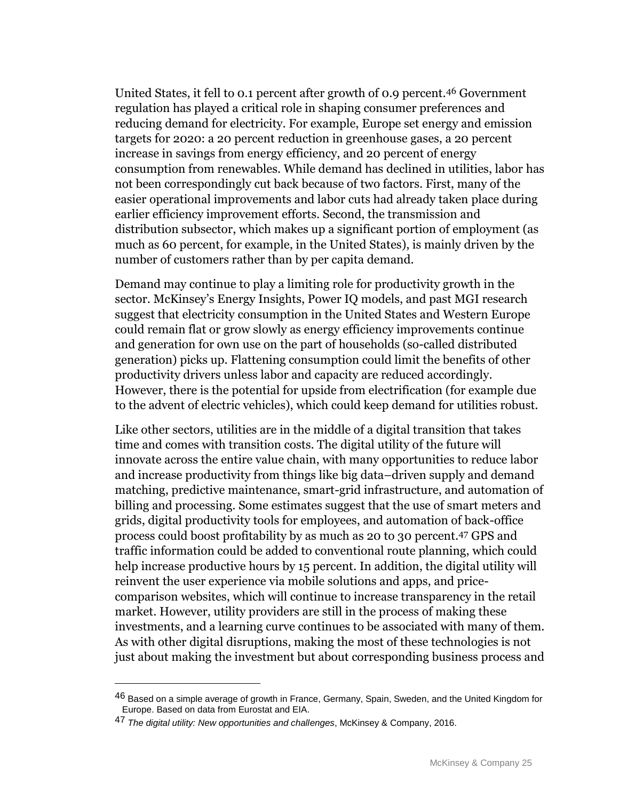United States, it fell to 0.1 percent after growth of 0.9 percent.46 Government regulation has played a critical role in shaping consumer preferences and reducing demand for electricity. For example, Europe set energy and emission targets for 2020: a 20 percent reduction in greenhouse gases, a 20 percent increase in savings from energy efficiency, and 20 percent of energy consumption from renewables. While demand has declined in utilities, labor has not been correspondingly cut back because of two factors. First, many of the easier operational improvements and labor cuts had already taken place during earlier efficiency improvement efforts. Second, the transmission and distribution subsector, which makes up a significant portion of employment (as much as 60 percent, for example, in the United States), is mainly driven by the number of customers rather than by per capita demand.

Demand may continue to play a limiting role for productivity growth in the sector. McKinsey's Energy Insights, Power IQ models, and past MGI research suggest that electricity consumption in the United States and Western Europe could remain flat or grow slowly as energy efficiency improvements continue and generation for own use on the part of households (so-called distributed generation) picks up. Flattening consumption could limit the benefits of other productivity drivers unless labor and capacity are reduced accordingly. However, there is the potential for upside from electrification (for example due to the advent of electric vehicles), which could keep demand for utilities robust.

Like other sectors, utilities are in the middle of a digital transition that takes time and comes with transition costs. The digital utility of the future will innovate across the entire value chain, with many opportunities to reduce labor and increase productivity from things like big data–driven supply and demand matching, predictive maintenance, smart-grid infrastructure, and automation of billing and processing. Some estimates suggest that the use of smart meters and grids, digital productivity tools for employees, and automation of back-office process could boost profitability by as much as 20 to 30 percent.47 GPS and traffic information could be added to conventional route planning, which could help increase productive hours by 15 percent. In addition, the digital utility will reinvent the user experience via mobile solutions and apps, and pricecomparison websites, which will continue to increase transparency in the retail market. However, utility providers are still in the process of making these investments, and a learning curve continues to be associated with many of them. As with other digital disruptions, making the most of these technologies is not just about making the investment but about corresponding business process and

<sup>46</sup> Based on a simple average of growth in France, Germany, Spain, Sweden, and the United Kingdom for Europe. Based on data from Eurostat and EIA.

<sup>47</sup> *The digital utility: New opportunities and challenges*, McKinsey & Company, 2016.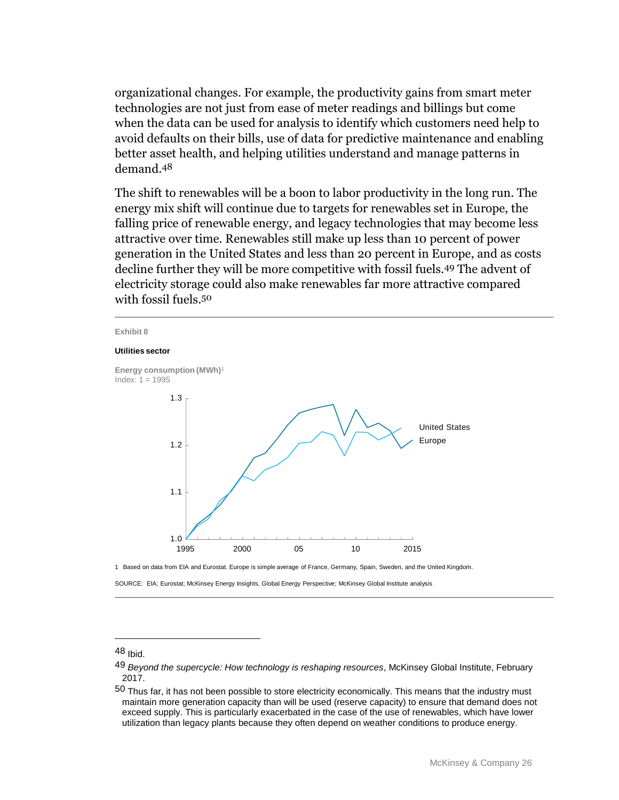organizational changes. For example, the productivity gains from smart meter technologies are not just from ease of meter readings and billings but come when the data can be used for analysis to identify which customers need help to avoid defaults on their bills, use of data for predictive maintenance and enabling better asset health, and helping utilities understand and manage patterns in demand.48

The shift to renewables will be a boon to labor productivity in the long run. The energy mix shift will continue due to targets for renewables set in Europe, the falling price of renewable energy, and legacy technologies that may become less attractive over time. Renewables still make up less than 10 percent of power generation in the United States and less than 20 percent in Europe, and as costs decline further they will be more competitive with fossil fuels.49 The advent of electricity storage could also make renewables far more attractive compared with fossil fuels.50



1 Based on data from EIA and Eurostat. Europe is simple average of France, Germany, Spain, Sweden, and the United Kingdom.

SOURCE: EIA; Eurostat; McKinsey Energy Insights, Global Energy Perspective; McKinsey Global Institute analysis

<sup>48</sup> Ibid.

<sup>49</sup> *Beyond the supercycle: How technology is reshaping resources*, McKinsey Global Institute, February 2017.

<sup>50</sup> Thus far, it has not been possible to store electricity economically. This means that the industry must maintain more generation capacity than will be used (reserve capacity) to ensure that demand does not exceed supply. This is particularly exacerbated in the case of the use of renewables, which have lower utilization than legacy plants because they often depend on weather conditions to produce energy.